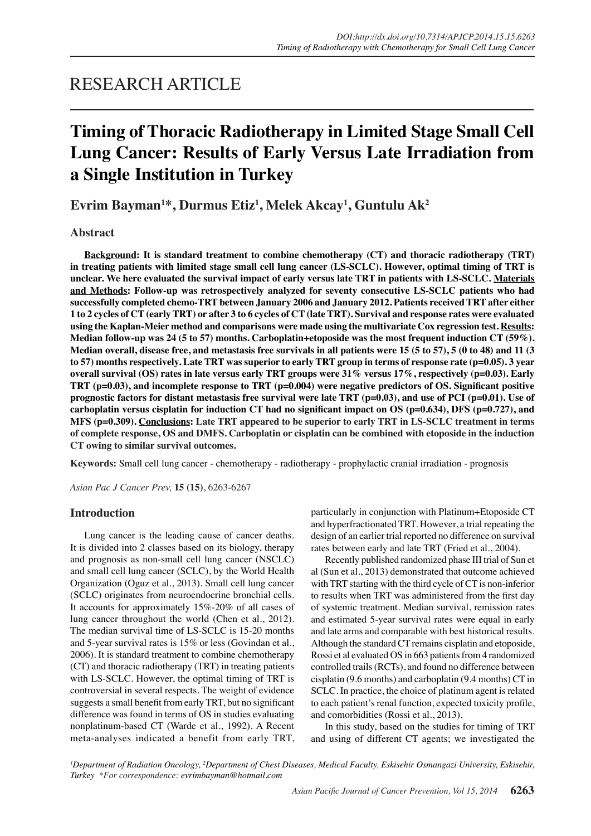## RESEARCH ARTICLE

# **Timing of Thoracic Radiotherapy in Limited Stage Small Cell Lung Cancer: Results of Early Versus Late Irradiation from a Single Institution in Turkey**

**Evrim Bayman1 \*, Durmus Etiz<sup>1</sup> , Melek Akcay1 , Guntulu Ak2**

## **Abstract**

**Background: It is standard treatment to combine chemotherapy (CT) and thoracic radiotherapy (TRT) in treating patients with limited stage small cell lung cancer (LS-SCLC). However, optimal timing of TRT is unclear. We here evaluated the survival impact of early versus late TRT in patients with LS-SCLC. Materials and Methods: Follow-up was retrospectively analyzed for seventy consecutive LS-SCLC patients who had successfully completed chemo-TRT between January 2006 and January 2012. Patients received TRT after either 1 to 2 cycles of CT (early TRT) or after 3 to 6 cycles of CT (late TRT). Survival and response rates were evaluated using the Kaplan-Meier method and comparisons were made using the multivariate Cox regression test. Results: Median follow-up was 24 (5 to 57) months. Carboplatin+etoposide was the most frequent induction CT (59%). Median overall, disease free, and metastasis free survivals in all patients were 15 (5 to 57), 5 (0 to 48) and 11 (3 to 57) months respectively. Late TRT was superior to early TRT group in terms of response rate (p=0.05). 3 year overall survival (OS) rates in late versus early TRT groups were 31% versus 17%, respectively (p=0.03). Early TRT (p=0.03), and incomplete response to TRT (p=0.004) were negative predictors of OS. Significant positive prognostic factors for distant metastasis free survival were late TRT (p=0.03), and use of PCI (p=0.01). Use of carboplatin versus cisplatin for induction CT had no significant impact on OS (p=0.634), DFS (p=0.727), and MFS (p=0.309). Conclusions: Late TRT appeared to be superior to early TRT in LS-SCLC treatment in terms of complete response, OS and DMFS. Carboplatin or cisplatin can be combined with etoposide in the induction CT owing to similar survival outcomes.**

**Keywords:** Small cell lung cancer - chemotherapy - radiotherapy - prophylactic cranial irradiation - prognosis

*Asian Pac J Cancer Prev,* **15 (15)**, 6263-6267

## **Introduction**

Lung cancer is the leading cause of cancer deaths. It is divided into 2 classes based on its biology, therapy and prognosis as non-small cell lung cancer (NSCLC) and small cell lung cancer (SCLC), by the World Health Organization (Oguz et al., 2013). Small cell lung cancer (SCLC) originates from neuroendocrine bronchial cells. It accounts for approximately 15%-20% of all cases of lung cancer throughout the world (Chen et al., 2012). The median survival time of LS-SCLC is 15-20 months and 5-year survival rates is 15% or less (Govindan et al., 2006). It is standard treatment to combine chemotherapy (CT) and thoracic radiotherapy (TRT) in treating patients with LS-SCLC. However, the optimal timing of TRT is controversial in several respects. The weight of evidence suggests a small benefit from early TRT, but no significant difference was found in terms of OS in studies evaluating nonplatinum-based CT (Warde et al., 1992). A Recent meta-analyses indicated a benefit from early TRT, particularly in conjunction with Platinum+Etoposide CT and hyperfractionated TRT. However, a trial repeating the design of an earlier trial reported no difference on survival rates between early and late TRT (Fried et al., 2004).

Recently published randomized phase III trial of Sun et al (Sun et al., 2013) demonstrated that outcome achieved with TRT starting with the third cycle of CT is non-inferior to results when TRT was administered from the first day of systemic treatment. Median survival, remission rates and estimated 5-year survival rates were equal in early and late arms and comparable with best historical results. Although the standard CT remains cisplatin and etoposide, Rossi et al evaluated OS in 663 patients from 4 randomized controlled trails (RCTs), and found no difference between cisplatin (9.6 months) and carboplatin (9.4 months) CT in SCLC. In practice, the choice of platinum agent is related to each patient's renal function, expected toxicity profile, and comorbidities (Rossi et al., 2013).

In this study, based on the studies for timing of TRT and using of different CT agents; we investigated the

<sup>1</sup>Department of Radiation Oncology, <sup>2</sup>Department of Chest Diseases, Medical Faculty, Eskisehir Osmangazi University, Eskisehir, *Turkey \*For correspondence: evrimbayman@hotmail.com*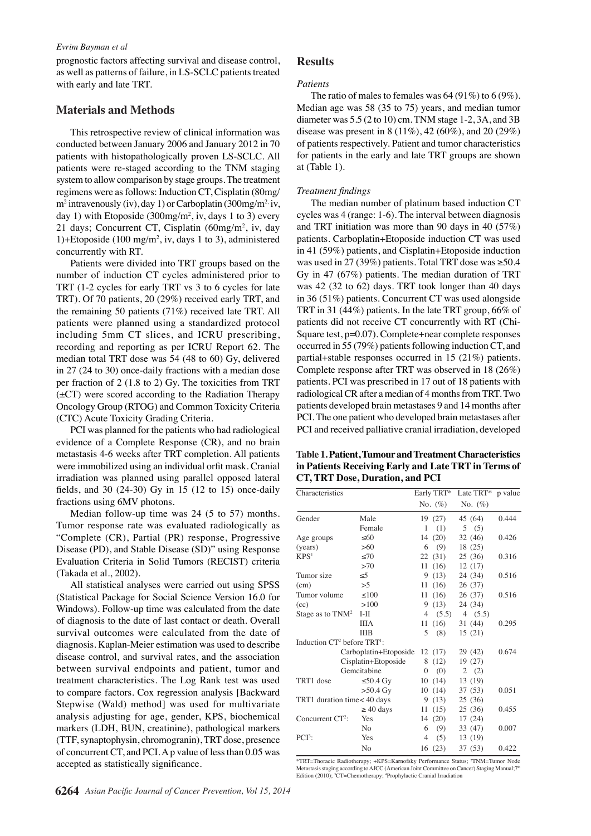#### *Evrim Bayman et al*

prognostic factors affecting survival and disease control, as well as patterns of failure, in LS-SCLC patients treated with early and late TRT.

## **Materials and Methods**

This retrospective review of clinical information was conducted between January 2006 and January 2012 in 70 patients with histopathologically proven LS-SCLC. All patients were re-staged according to the TNM staging system to allow comparison by stage groups. The treatment regimens were as follows: Induction CT, Cisplatin (80mg/ m<sup>2</sup> intravenously (iv), day 1) or Carboplatin (300mg/m<sup>2,</sup> iv, day 1) with Etoposide (300mg/m2 , iv, days 1 to 3) every 21 days; Concurrent CT, Cisplatin (60mg/m<sup>2</sup>, iv, day 1)+Etoposide (100 mg/m2 , iv, days 1 to 3), administered concurrently with RT.

Patients were divided into TRT groups based on the number of induction CT cycles administered prior to TRT (1-2 cycles for early TRT vs 3 to 6 cycles for late TRT). Of 70 patients, 20 (29%) received early TRT, and the remaining 50 patients (71%) received late TRT. All patients were planned using a standardized protocol including 5mm CT slices, and ICRU prescribing, recording and reporting as per ICRU Report 62. The median total TRT dose was 54 (48 to 60) Gy, delivered in 27 (24 to 30) once-daily fractions with a median dose per fraction of 2 (1.8 to 2) Gy. The toxicities from TRT  $(\pm CT)$  were scored according to the Radiation Therapy Oncology Group (RTOG) and Common Toxicity Criteria (CTC) Acute Toxicity Grading Criteria.

PCI was planned for the patients who had radiological evidence of a Complete Response (CR), and no brain metastasis 4-6 weeks after TRT completion. All patients were immobilized using an individual orfit mask. Cranial irradiation was planned using parallel opposed lateral fields, and 30 (24-30) Gy in 15 (12 to 15) once-daily fractions using 6MV photons.

Median follow-up time was 24 (5 to 57) months. Tumor response rate was evaluated radiologically as "Complete (CR), Partial (PR) response, Progressive Disease (PD), and Stable Disease (SD)" using Response Evaluation Criteria in Solid Tumors (RECIST) criteria (Takada et al., 2002).

All statistical analyses were carried out using SPSS (Statistical Package for Social Science Version 16.0 for Windows). Follow-up time was calculated from the date of diagnosis to the date of last contact or death. Overall survival outcomes were calculated from the date of diagnosis. Kaplan-Meier estimation was used to describe disease control, and survival rates, and the association between survival endpoints and patient, tumor and treatment characteristics. The Log Rank test was used to compare factors. Cox regression analysis [Backward Stepwise (Wald) method] was used for multivariate analysis adjusting for age, gender, KPS, biochemical markers (LDH, BUN, creatinine), pathological markers (TTF, synaptophysin, chromogranin), TRT dose, presence of concurrent CT, and PCI. A p value of less than 0.05 was accepted as statistically significance.

## **Results**

#### *Patients*

The ratio of males to females was  $64 (91\%)$  to  $6 (9\%).$ Median age was 58 (35 to 75) years, and median tumor diameter was 5.5 (2 to 10) cm. TNM stage 1-2, 3A, and 3B disease was present in 8 (11%), 42 (60%), and 20 (29%) of patients respectively. Patient and tumor characteristics for patients in the early and late TRT groups are shown at (Table 1).

#### *Treatment findings*

The median number of platinum based induction CT cycles was 4 (range: 1-6). The interval between diagnosis and TRT initiation was more than 90 days in 40 (57%) patients. Carboplatin+Etoposide induction CT was used in 41 (59%) patients, and Cisplatin+Etoposide induction was used in 27 (39%) patients. Total TRT dose was ≥50.4 Gy in 47 (67%) patients. The median duration of TRT was 42 (32 to 62) days. TRT took longer than 40 days in 36 (51%) patients. Concurrent CT was used alongside TRT in 31 (44%) patients. In the late TRT group, 66% of patients did not receive CT concurrently with RT (Chi-Square test, p=0.07). Complete+near complete responses occurred in 55 (79%) patients following induction CT, and partial+stable responses occurred in 15 (21%) patients. Complete response after TRT was observed in 18 (26%) patients. PCI was prescribed in 17 out of 18 patients with radiological CR after a median of 4 months from TRT. Two patients developed brain metastases 9 and 14 months after PCI. The one patient who developed brain metastases after PCI and received palliative cranial irradiation, developed

**Table 1. Patient, Tumour and Treatment Characteristics in Patients Receiving Early and Late TRT in Terms of CT, TRT Dose, Duration, and PCI**

| Characteristics                   |                       | Early TRT*          | Late TRT*  | p value |
|-----------------------------------|-----------------------|---------------------|------------|---------|
|                                   |                       | No. $(\%)$          | No. $(\%)$ |         |
| Gender                            | Male                  | 19 (27)             | 45 (64)    | 0.444   |
|                                   | Female                | 1<br>(1)            | 5(5)       |         |
| Age groups                        | <60                   | 14 (20)             | 32(46)     | 0.426   |
| (years)                           | >60                   | (9)<br>6            | 18 (25)    |         |
| KPS <sup>1</sup>                  | <70                   | 22(31)              | 25(36)     | 0.316   |
|                                   | >70                   | 11(16)              | 12(17)     |         |
| Tumor size                        | $\leq 5$              | (13)<br>9           | 24 (34)    | 0.516   |
| (cm)                              | $>$ 5                 | 11(16)              | 26(37)     |         |
| Tumor volume                      | $\leq 100$            | 11(16)              | 26 (37)    | 0.516   |
| (cc)                              | >100                  | (13)<br>9           | 24 (34)    |         |
| Stage as to $TNM^2$               | $I-II$                | 4(5.5)              | 4(5.5)     |         |
|                                   | <b>IIIA</b>           | 11 (16)             | 31 (44)    | 0.295   |
|                                   | <b>IIIB</b>           | 5<br>(8)            | 15(21)     |         |
| Induction $CT^2$ before $TRT^1$ : |                       |                     |            |         |
|                                   | Carboplatin+Etoposide | 12(17)              | 29 (42)    | 0.674   |
|                                   | Cisplatin+Etoposide   | 8(12)               | 19 (27)    |         |
|                                   | Gemcitabine           | (0)<br>$\mathbf{0}$ | 2(2)       |         |
| TRT1 dose                         | ≤50.4 Gy              | 10(14)              | 13 (19)    |         |
|                                   | $>50.4$ Gy            | 10(14)              | 37 (53)    | 0.051   |
| TRT1 duration time < 40 days      |                       | 9(13)               | 25 (36)    |         |
|                                   | $\geq 40$ days        | 11(15)              | 25(36)     | 0.455   |
| Concurrent CT <sup>2</sup> :      | Yes                   | 14 (20)             | 17(24)     |         |
|                                   | No                    | (9)<br>6            | 33 (47)    | 0.007   |
| $PCI3$ :                          | Yes                   | 4<br>(5)            | 13 (19)    |         |
|                                   | N <sub>0</sub>        | 16 (23)             | 37(53)     | 0.422   |

\*TRT=Thoracic Radiotherapy; +KPS=Karnofsky Performance Status; 2 TNM=Tumor Node Metastasis staging according to AJCC (American Joint Committee on Cancer) Staging Manual;7<sup>th</sup> Edition (2010); <sup>3</sup>CT=Chemotherapy; <sup>4</sup>Prophylactic Cranial Irradiation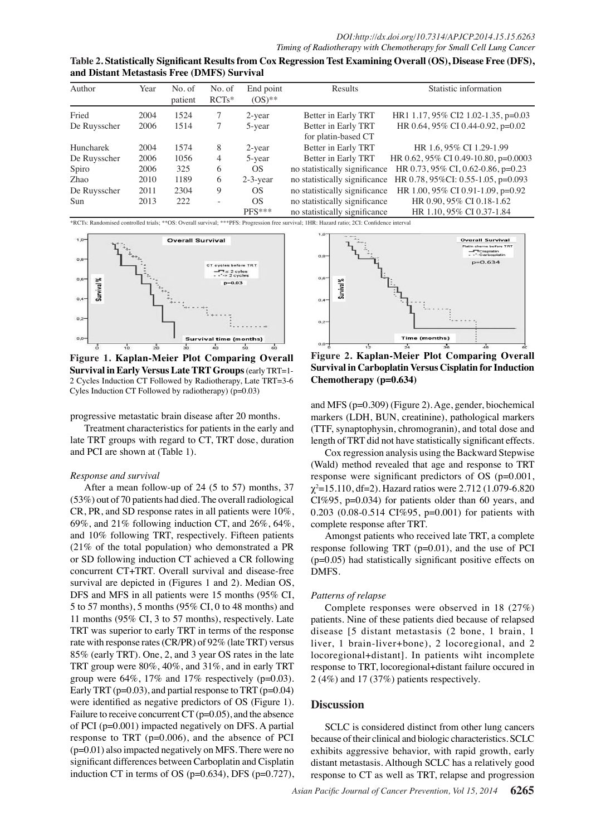| Table 2. Statistically Significant Results from Cox Regression Test Examining Overall (OS), Disease Free (DFS), |  |
|-----------------------------------------------------------------------------------------------------------------|--|
| and Distant Metastasis Free (DMFS) Survival                                                                     |  |

| Author       | Year | No. of<br>patient | No. of<br>$RCTs*$ | End point<br>$OS)$ ** | Results                       | Statistic information                |
|--------------|------|-------------------|-------------------|-----------------------|-------------------------------|--------------------------------------|
| Fried        | 2004 | 1524              |                   | $2$ -year             | Better in Early TRT           | HR1 1.17, 95% CI2 1.02-1.35, p=0.03  |
| De Ruysscher | 2006 | 1514              |                   | 5-year                | Better in Early TRT           | HR 0.64, 95% CI 0.44-0.92, p=0.02    |
|              |      |                   |                   |                       | for platin-based CT           |                                      |
| Huncharek    | 2004 | 1574              | 8                 | $2$ -year             | Better in Early TRT           | HR 1.6, 95% CI 1.29-1.99             |
| De Ruysscher | 2006 | 1056              | 4                 | 5-year                | Better in Early TRT           | HR 0.62, 95% CI 0.49-10.80, p=0.0003 |
| Spiro        | 2006 | 325               | 6                 | <b>OS</b>             | no statistically significance | HR 0.73, 95% CI, 0.62-0.86, p=0.23   |
| Zhao         | 2010 | 1189              | 6                 | $2-3$ -year           | no statistically significance | HR 0.78, 95%CI: 0.55-1.05, p=0.093   |
| De Ruysscher | 2011 | 2304              | 9                 | <b>OS</b>             | no statistically significance | HR 1.00, 95% CI 0.91-1.09, p=0.92    |
| Sun          | 2013 | 222               |                   | <b>OS</b>             | no statistically significance | HR 0.90, 95% CI 0.18-1.62            |
|              |      |                   |                   | $PFS***$              | no statistically significance | HR 1.10, 95% CI 0.37-1.84            |

\*RCTs: Randomised controlled trials; \*\*OS: Overall survival; \*\*\*PFS: Progression free survival; 1HR: Hazard ratio; 2CI: Confidence interval



**Figure 1. Kaplan-Meier Plot Comparing Overall Survival in Early Versus Late TRT Groups** (early TRT=1- 2 Cycles Induction CT Followed by Radiotherapy, Late TRT=3-6 Cyles Induction CT Followed by radiotherapy) (p=0.03)

progressive metastatic brain disease after 20 months.

Treatment characteristics for patients in the early and late TRT groups with regard to CT, TRT dose, duration and PCI are shown at (Table 1).

#### *Response and survival*

After a mean follow-up of 24 (5 to 57) months, 37 (53%) out of 70 patients had died. The overall radiological CR, PR, and SD response rates in all patients were 10%, 69%, and 21% following induction CT, and 26%, 64%, and 10% following TRT, respectively. Fifteen patients (21% of the total population) who demonstrated a PR or SD following induction CT achieved a CR following concurrent CT+TRT. Overall survival and disease-free survival are depicted in (Figures 1 and 2). Median OS, DFS and MFS in all patients were 15 months (95% CI, 5 to 57 months), 5 months (95% CI, 0 to 48 months) and 11 months (95% CI, 3 to 57 months), respectively. Late TRT was superior to early TRT in terms of the response rate with response rates (CR/PR) of 92% (late TRT) versus 85% (early TRT). One, 2, and 3 year OS rates in the late TRT group were 80%, 40%, and 31%, and in early TRT group were  $64\%$ ,  $17\%$  and  $17\%$  respectively (p=0.03). Early TRT ( $p=0.03$ ), and partial response to TRT ( $p=0.04$ ) were identified as negative predictors of OS (Figure 1). Failure to receive concurrent  $CT$  ( $p=0.05$ ), and the absence of PCI (p=0.001) impacted negatively on DFS. A partial response to TRT (p=0.006), and the absence of PCI (p=0.01) also impacted negatively on MFS. There were no significant differences between Carboplatin and Cisplatin induction CT in terms of OS ( $p=0.634$ ), DFS ( $p=0.727$ ),



**Figure 2. Kaplan-Meier Plot Comparing Overall Survival in Carboplatin Versus Cisplatin for Induction Chemotherapy (p=0.634)**

and MFS (p=0.309) (Figure 2). Age, gender, biochemical markers (LDH, BUN, creatinine), pathological markers (TTF, synaptophysin, chromogranin), and total dose and length of TRT did not have statistically significant effects.

Cox regression analysis using the Backward Stepwise (Wald) method revealed that age and response to TRT response were significant predictors of OS (p=0.001, χ2 =15.110, df=2). Hazard ratios were 2.712 (1.079-6.820 CI%95, p=0.034) for patients older than 60 years, and 0.203 (0.08-0.514 CI%95, p=0.001) for patients with complete response after TRT.

Amongst patients who received late TRT, a complete response following TRT (p=0.01), and the use of PCI  $(p=0.05)$  had statistically significant positive effects on DMFS.

#### *Patterns of relapse*

Complete responses were observed in 18 (27%) patients. Nine of these patients died because of relapsed disease [5 distant metastasis (2 bone, 1 brain, 1 liver, 1 brain-liver+bone), 2 locoregional, and 2 locoregional+distant]. In patients wiht incomplete response to TRT, locoregional+distant failure occured in 2 (4%) and 17 (37%) patients respectively.

#### **Discussion**

SCLC is considered distinct from other lung cancers because of their clinical and biologic characteristics. SCLC exhibits aggressive behavior, with rapid growth, early distant metastasis. Although SCLC has a relatively good response to CT as well as TRT, relapse and progression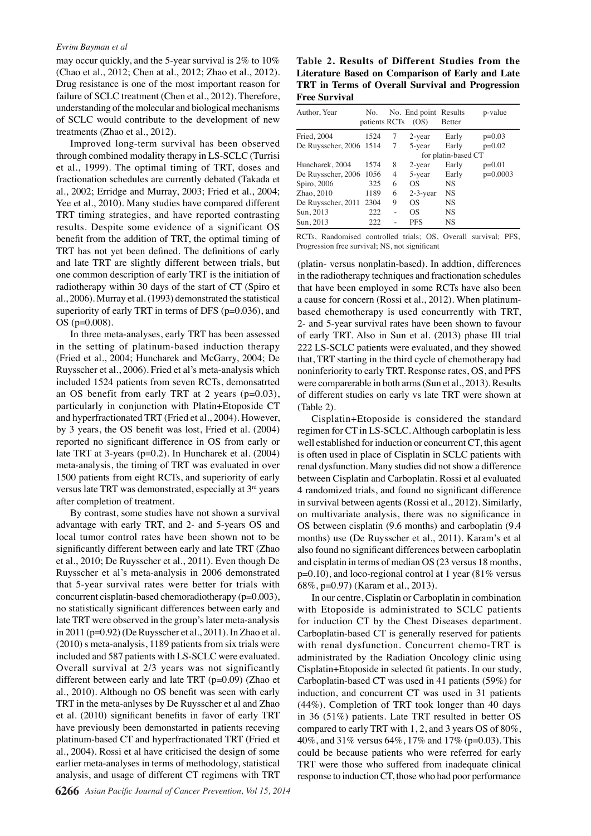#### *Evrim Bayman et al*

may occur quickly, and the 5-year survival is 2% to 10% (Chao et al., 2012; Chen at al., 2012; Zhao et al., 2012). Drug resistance is one of the most important reason for failure of SCLC treatment (Chen et al., 2012). Therefore, understanding of the molecular and biological mechanisms of SCLC would contribute to the development of new treatments (Zhao et al., 2012).

Improved long-term survival has been observed through combined modality therapy in LS-SCLC (Turrisi et al., 1999). The optimal timing of TRT, doses and fractionation schedules are currently debated (Takada et al., 2002; Erridge and Murray, 2003; Fried et al., 2004; Yee et al., 2010). Many studies have compared different TRT timing strategies, and have reported contrasting results. Despite some evidence of a significant OS benefit from the addition of TRT, the optimal timing of TRT has not yet been defined. The definitions of early and late TRT are slightly different between trials, but one common description of early TRT is the initiation of radiotherapy within 30 days of the start of CT (Spiro et al., 2006). Murray et al. (1993) demonstrated the statistical superiority of early TRT in terms of DFS (p=0.036), and OS (p=0.008).

In three meta-analyses, early TRT has been assessed in the setting of platinum-based induction therapy (Fried et al., 2004; Huncharek and McGarry, 2004; De Ruysscher et al., 2006). Fried et al's meta-analysis which included 1524 patients from seven RCTs, demonsatrted an OS benefit from early TRT at 2 years (p=0.03), particularly in conjunction with Platin+Etoposide CT and hyperfractionated TRT (Fried et al., 2004). However, by 3 years, the OS benefit was lost, Fried et al. (2004) reported no significant difference in OS from early or late TRT at 3-years (p=0.2). In Huncharek et al. (2004) meta-analysis, the timing of TRT was evaluated in over 1500 patients from eight RCTs, and superiority of early versus late TRT was demonstrated, especially at 3rd years after completion of treatment.

By contrast, some studies have not shown a survival advantage with early TRT, and 2- and 5-years OS and local tumor control rates have been shown not to be significantly different between early and late TRT (Zhao et al., 2010; De Ruysscher et al., 2011). Even though De Ruysscher et al's meta-analysis in 2006 demonstrated that 5-year survival rates were better for trials with concurrent cisplatin-based chemoradiotherapy (p=0.003), no statistically significant differences between early and late TRT were observed in the group's later meta-analysis in 2011 (p=0.92) (De Ruysscher et al., 2011). In Zhao et al. (2010) s meta-analysis, 1189 patients from six trials were included and 587 patients with LS-SCLC were evaluated. Overall survival at 2/3 years was not significantly different between early and late TRT (p=0.09) (Zhao et al., 2010). Although no OS benefit was seen with early TRT in the meta-anlyses by De Ruysscher et al and Zhao et al. (2010) significant benefits in favor of early TRT have previously been demonstarted in patients receving platinum-based CT and hyperfractionated TRT (Fried et al., 2004). Rossi et al have criticised the design of some earlier meta-analyses in terms of methodology, statistical analysis, and usage of different CT regimens with TRT

**Table 2. Results of Different Studies from the Literature Based on Comparison of Early and Late TRT in Terms of Overall Survival and Progression Free Survival** 

| Author, Year            | No.<br>patients RCTs |   | No. End point Results<br>(OS) | <b>Better</b>       | p-value    |
|-------------------------|----------------------|---|-------------------------------|---------------------|------------|
| <b>Fried, 2004</b>      | 1524                 | 7 | $2$ -year                     | Early               | $p=0.03$   |
| De Ruysscher, 2006 1514 |                      | 7 | 5-year                        | Early               | $p=0.02$   |
|                         |                      |   |                               | for platin-based CT |            |
| Huncharek, 2004         | 1574                 | 8 | $2$ -year                     | Early               | $p=0.01$   |
| De Ruysscher, 2006 1056 |                      | 4 | 5-year                        | Early               | $p=0.0003$ |
| Spiro, 2006             | 325                  | 6 | OS                            | <b>NS</b>           |            |
| Zhao, 2010              | 1189                 | 6 | $2-3$ -year                   | <b>NS</b>           |            |
| De Ruysscher, 2011      | 2304                 | 9 | OS                            | <b>NS</b>           |            |
| Sun, 2013               | 222.                 |   | OS                            | <b>NS</b>           |            |
| Sun, 2013               | 222.                 |   | <b>PFS</b>                    | <b>NS</b>           |            |

RCTs, Randomised controlled trials; OS, Overall survival; PFS, Progression free survival; NS, not significant

(platin- versus nonplatin-based). In addtion, differences in the radiotherapy techniques and fractionation schedules that have been employed in some RCTs have also been a cause for concern (Rossi et al., 2012). When platinumbased chemotherapy is used concurrently with TRT, 2- and 5-year survival rates have been shown to favour of early TRT. Also in Sun et al. (2013) phase III trial 222 LS-SCLC patients were evaluated, and they showed that, TRT starting in the third cycle of chemotherapy had noninferiority to early TRT. Response rates, OS, and PFS were comparerable in both arms (Sun et al., 2013). Results of different studies on early vs late TRT were shown at (Table 2).

Cisplatin+Etoposide is considered the standard regimen for CT in LS-SCLC. Although carboplatin is less well established for induction or concurrent CT, this agent is often used in place of Cisplatin in SCLC patients with renal dysfunction. Many studies did not show a difference between Cisplatin and Carboplatin. Rossi et al evaluated 4 randomized trials, and found no significant difference in survival between agents (Rossi et al., 2012). Similarly, on multivariate analysis, there was no significance in OS between cisplatin (9.6 months) and carboplatin (9.4 months) use (De Ruysscher et al., 2011). Karam's et al also found no significant differences between carboplatin and cisplatin in terms of median OS (23 versus 18 months,  $p=0.10$ ), and loco-regional control at 1 year (81% versus 68%, p=0.97) (Karam et al., 2013).

In our centre, Cisplatin or Carboplatin in combination with Etoposide is administrated to SCLC patients for induction CT by the Chest Diseases department. Carboplatin-based CT is generally reserved for patients with renal dysfunction. Concurrent chemo-TRT is administrated by the Radiation Oncology clinic using Cisplatin+Etoposide in selected fit patients. In our study, Carboplatin-based CT was used in 41 patients (59%) for induction, and concurrent CT was used in 31 patients (44%). Completion of TRT took longer than 40 days in 36 (51%) patients. Late TRT resulted in better OS compared to early TRT with 1, 2, and 3 years OS of 80%, 40%, and 31% versus 64%, 17% and 17% (p=0.03). This could be because patients who were referred for early TRT were those who suffered from inadequate clinical response to induction CT, those who had poor performance